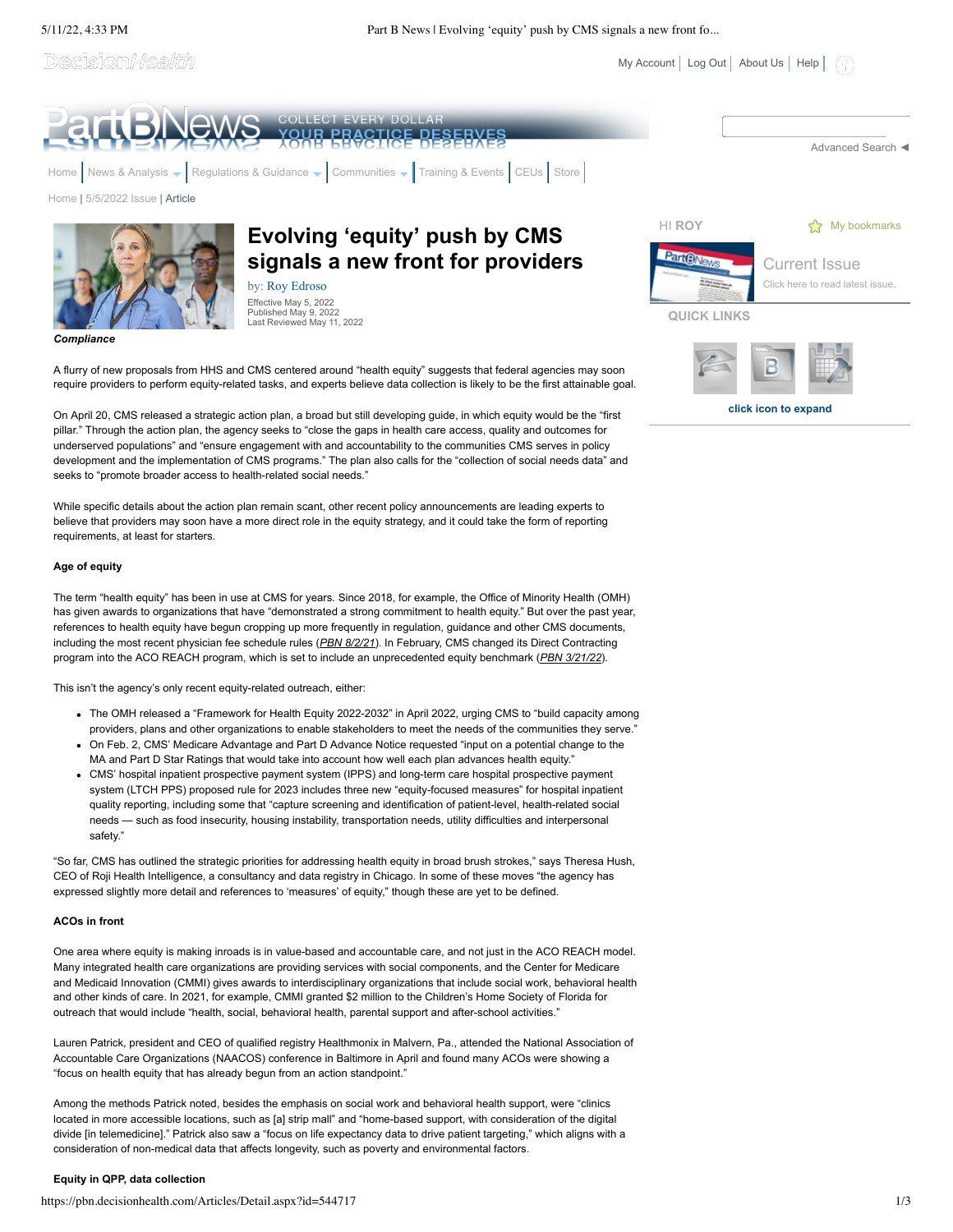Decision*Health* 

 $My Account$  [Log Out](javascript:__doPostBack() | [About Us](https://pbn.decisionhealth.com/About/Default.aspx) | [Help](https://pbn.decisionhealth.com/About/Help.aspx) |

**click icon to expand**



A flurry of new proposals from HHS and CMS centered around "health equity" suggests that federal agencies may soon require providers to perform equity-related tasks, and experts believe data collection is likely to be the first attainable goal.

On April 20, CMS released a strategic action plan, a broad but still developing guide, in which equity would be the "first pillar." Through the action plan, the agency seeks to "close the gaps in health care access, quality and outcomes for underserved populations" and "ensure engagement with and accountability to the communities CMS serves in policy development and the implementation of CMS programs." The plan also calls for the "collection of social needs data" and seeks to "promote broader access to health-related social needs."

While specific details about the action plan remain scant, other recent policy announcements are leading experts to believe that providers may soon have a more direct role in the equity strategy, and it could take the form of reporting requirements, at least for starters.

## **Age of equity**

The term "health equity" has been in use at CMS for years. Since 2018, for example, the Office of Minority Health (OMH) has given awards to organizations that have "demonstrated a strong commitment to health equity." But over the past year, references to health equity have begun cropping up more frequently in regulation, guidance and other CMS documents, including the most recent physician fee schedule rules (*PBN 8/2/21*). In February, CMS changed its Direct Contracting program into the ACO REACH program, which is set to include an unprecedented equity benchmark (*PBN 3/21/22*).

This isn't the agency's only recent equity-related outreach, either:

- The OMH released a "Framework for Health Equity 2022-2032" in April 2022, urging CMS to "build capacity among providers, plans and other organizations to enable stakeholders to meet the needs of the communities they serve."
- On Feb. 2, CMS' Medicare Advantage and Part D Advance Notice requested "input on a potential change to the MA and Part D Star Ratings that would take into account how well each plan advances health equity."
- CMS' hospital inpatient prospective payment system (IPPS) and long-term care hospital prospective payment system (LTCH PPS) proposed rule for 2023 includes three new "equity-focused measures" for hospital inpatient quality reporting, including some that "capture screening and identification of patient-level, health-related social needs — such as food insecurity, housing instability, transportation needs, utility difficulties and interpersonal safety."

"So far, CMS has outlined the strategic priorities for addressing health equity in broad brush strokes," says Theresa Hush, CEO of Roji Health Intelligence, a consultancy and data registry in Chicago. In some of these moves "the agency has expressed slightly more detail and references to 'measures' of equity," though these are yet to be defined.

## **ACOs in front**

One area where equity is making inroads is in value-based and accountable care, and not just in the ACO REACH model. Many integrated health care organizations are providing services with social components, and the Center for Medicare and Medicaid Innovation (CMMI) gives awards to interdisciplinary organizations that include social work, behavioral health and other kinds of care. In 2021, for example, CMMI granted \$2 million to the Children's Home Society of Florida for outreach that would include "health, social, behavioral health, parental support and after-school activities."

Lauren Patrick, president and CEO of qualified registry Healthmonix in Malvern, Pa., attended the National Association of Accountable Care Organizations (NAACOS) conference in Baltimore in April and found many ACOs were showing a "focus on health equity that has already begun from an action standpoint."

Among the methods Patrick noted, besides the emphasis on social work and behavioral health support, were "clinics located in more accessible locations, such as [a] strip mall" and "home-based support, with consideration of the digital divide [in telemedicine]." Patrick also saw a "focus on life expectancy data to drive patient targeting," which aligns with a consideration of non-medical data that affects longevity, such as poverty and environmental factors.

## **Equity in QPP, data collection**

https://pbn.decisionhealth.com/Articles/Detail.aspx?id=544717 1/3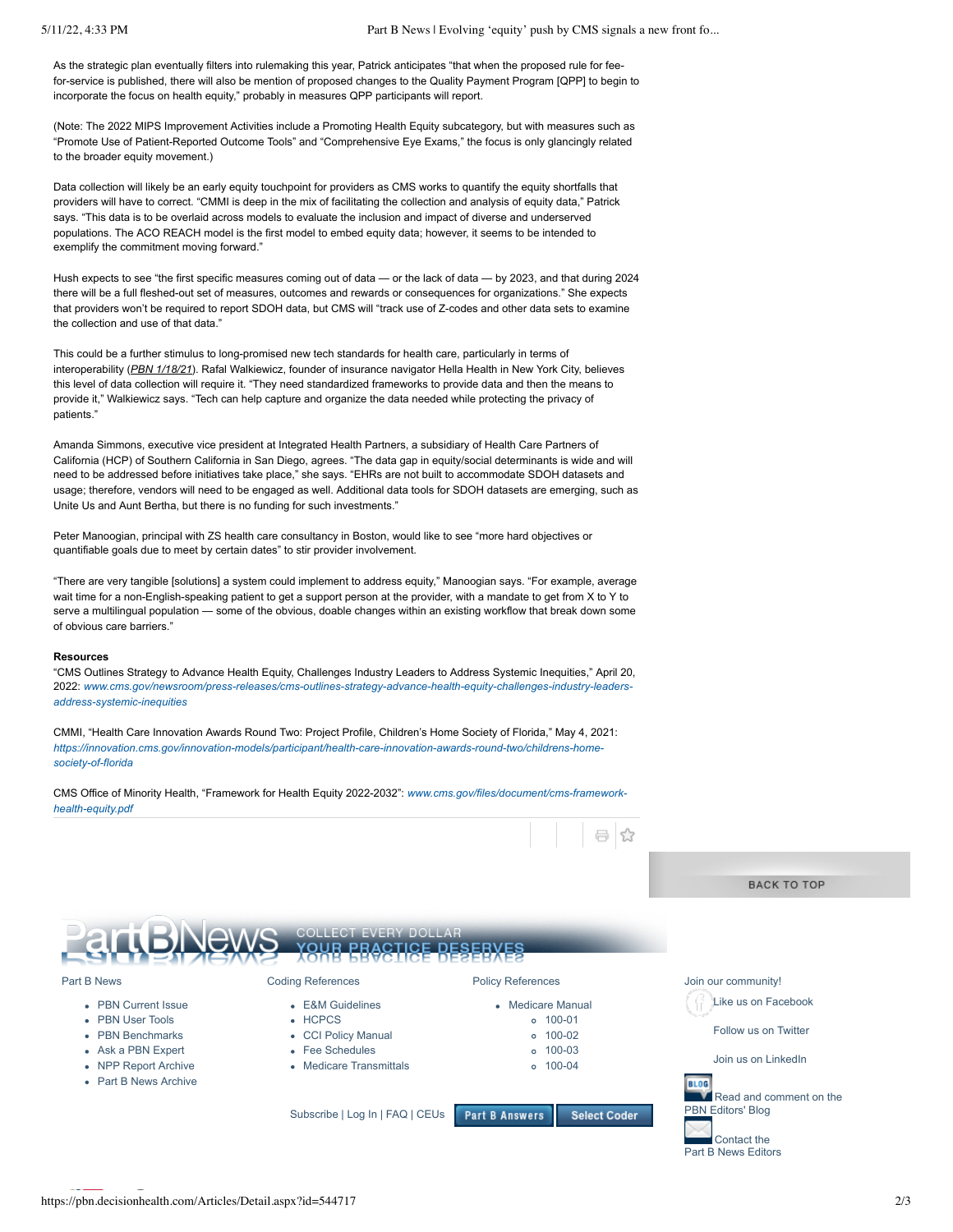As the strategic plan eventually filters into rulemaking this year, Patrick anticipates "that when the proposed rule for feefor-service is published, there will also be mention of proposed changes to the Quality Payment Program [QPP] to begin to incorporate the focus on health equity," probably in measures QPP participants will report.

(Note: The 2022 MIPS Improvement Activities include a Promoting Health Equity subcategory, but with measures such as "Promote Use of Patient-Reported Outcome Tools" and "Comprehensive Eye Exams," the focus is only glancingly related to the broader equity movement.)

Data collection will likely be an early equity touchpoint for providers as CMS works to quantify the equity shortfalls that providers will have to correct. "CMMI is deep in the mix of facilitating the collection and analysis of equity data," Patrick says. "This data is to be overlaid across models to evaluate the inclusion and impact of diverse and underserved populations. The ACO REACH model is the first model to embed equity data; however, it seems to be intended to exemplify the commitment moving forward."

Hush expects to see "the first specific measures coming out of data — or the lack of data — by 2023, and that during 2024 there will be a full fleshed-out set of measures, outcomes and rewards or consequences for organizations." She expects that providers won't be required to report SDOH data, but CMS will "track use of Z-codes and other data sets to examine the collection and use of that data."

This could be a further stimulus to long-promised new tech standards for health care, particularly in terms of interoperability (*PBN 1/18/21*). Rafal Walkiewicz, founder of insurance navigator Hella Health in New York City, believes this level of data collection will require it. "They need standardized frameworks to provide data and then the means to provide it," Walkiewicz says. "Tech can help capture and organize the data needed while protecting the privacy of patients."

Amanda Simmons, executive vice president at Integrated Health Partners, a subsidiary of Health Care Partners of California (HCP) of Southern California in San Diego, agrees. "The data gap in equity/social determinants is wide and will need to be addressed before initiatives take place," she says. "EHRs are not built to accommodate SDOH datasets and usage; therefore, vendors will need to be engaged as well. Additional data tools for SDOH datasets are emerging, such as Unite Us and Aunt Bertha, but there is no funding for such investments."

Peter Manoogian, principal with ZS health care consultancy in Boston, would like to see "more hard objectives or quantifiable goals due to meet by certain dates" to stir provider involvement.

"There are very tangible [solutions] a system could implement to address equity," Manoogian says. "For example, average wait time for a non-English-speaking patient to get a support person at the provider, with a mandate to get from X to Y to serve a multilingual population — some of the obvious, doable changes within an existing workflow that break down some of obvious care barriers."

## **Resources**

"CMS Outlines Strategy to Advance Health Equity, Challenges Industry Leaders to Address Systemic Inequities," April 20, 2022: *[www.cms.gov/newsroom/press-releases/cms-outlines-strategy-advance-health-equity-challenges-industry-leaders](http://www.cms.gov/newsroom/press-releases/cms-outlines-strategy-advance-health-equity-challenges-industry-leaders-address-systemic-inequities)address-systemic-inequities*

CMMI, "Health Care Innovation Awards Round Two: Project Profile, Children's Home Society of Florida," May 4, 2021: *[https://innovation.cms.gov/innovation-models/participant/health-care-innovation-awards-round-two/childrens-home](https://innovation.cms.gov/innovation-models/participant/health-care-innovation-awards-round-two/childrens-home-society-of-florida)society-of-florida*

[CMS Office of Minority Health, "Framework for Health Equity 2022-2032":](http://www.cms.gov/files/document/cms-framework-health-equity.pdf) *www.cms.gov/files/document/cms-frameworkhealth-equity.pdf*

|                       |                                 |                                              | <b>BACK TO TOP</b>      |
|-----------------------|---------------------------------|----------------------------------------------|-------------------------|
|                       |                                 |                                              |                         |
|                       |                                 |                                              |                         |
|                       | <b>COLLECT EVERY DOLLAR</b>     |                                              |                         |
|                       | 18                              | <b>CE DESERVES</b>                           |                         |
|                       |                                 |                                              |                         |
| Part B News           | <b>Coding References</b>        | <b>Policy References</b>                     | Join our community!     |
| • PBN Current Issue   | • E&M Guidelines                | • Medicare Manual                            | Like us on Facebook     |
| • PBN User Tools      | • HCPCS                         | $0 100 - 01$                                 |                         |
| • PBN Benchmarks      | • CCI Policy Manual             | $o$ 100-02                                   | Follow us on Twitter    |
| • Ask a PBN Expert    | • Fee Schedules                 | $0 100 - 03$                                 |                         |
| • NPP Report Archive  | • Medicare Transmittals         | $o$ 100-04                                   | Join us on LinkedIn     |
| • Part B News Archive |                                 |                                              | <b>BLOG</b>             |
|                       |                                 |                                              | Read and comment on the |
|                       | Subscribe   Log In   FAQ   CEUs | <b>Part B Answers</b><br><b>Select Coder</b> | PBN Editors' Blog       |
|                       |                                 |                                              |                         |
|                       |                                 |                                              | Contact the             |

 $\approx$ 

[Part B News Editors](https://pbn.decisionhealth.com/About/ContactUs.aspx)